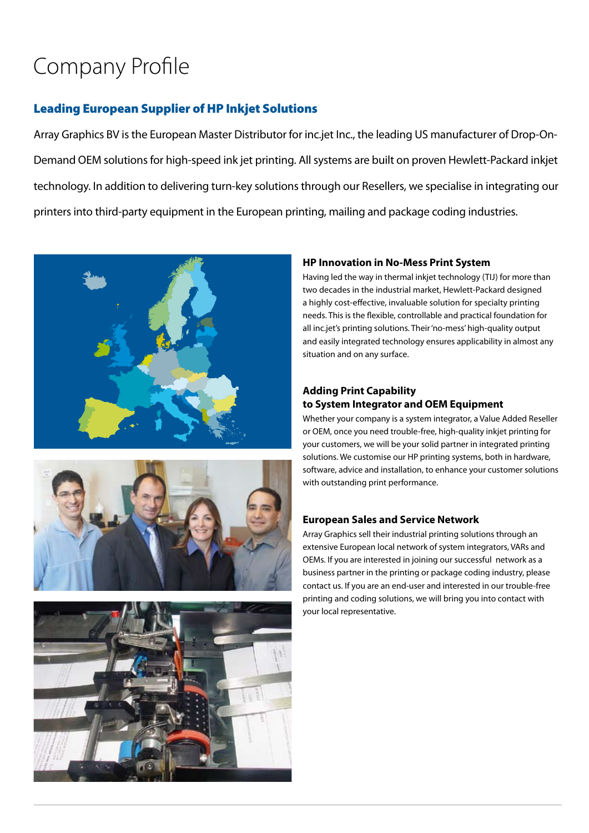# Company Profile

### Leading European Supplier of HP Inkjet Solutions

Array Graphics BV is the European Master Distributor for inc.jet Inc., the leading US manufacturer of Drop-On-Demand OEM solutions for high-speed ink jet printing. All systems are built on proven Hewlett-Packard inkjet technology. In addition to delivering turn-key solutions through our Resellers, we specialise in integrating our printers into third-party equipment in the European printing, mailing and package coding industries.







#### **HP Innovation in No-Mess Print System**

Having led the way in thermal inkjet technology (TIJ) for more than two decades in the industrial market, Hewlett-Packard designed a highly cost-effective, invaluable solution for specialty printing needs. This is the flexible, controllable and practical foundation for all inc.jet's printing solutions. Their 'no-mess' high-quality output and easily integrated technology ensures applicability in almost any situation and on any surface.

#### **Adding Print Capability to System Integrator and OEM Equipment**

Whether your company is a system integrator, a Value Added Reseller or OEM, once you need trouble-free, high-quality inkjet printing for your customers, we will be your solid partner in integrated printing solutions. We customise our HP printing systems, both in hardware, software, advice and installation, to enhance your customer solutions with outstanding print performance.

#### **European Sales and Service Network**

Array Graphics sell their industrial printing solutions through an extensive European local network of system integrators, VARs and OEMs. If you are interested in joining our successful network as a business partner in the printing or package coding industry, please contact us. If you are an end-user and interested in our trouble-free printing and coding solutions, we will bring you into contact with your local representative.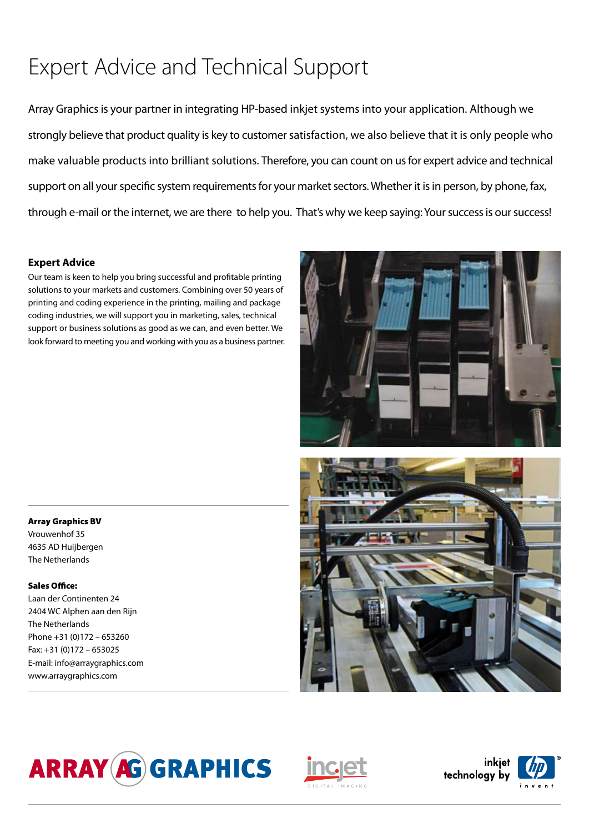# Expert Advice and Technical Support

Array Graphics is your partner in integrating HP-based inkjet systems into your application. Although we strongly believe that product quality is key to customer satisfaction, we also believe that it is only people who make valuable products into brilliant solutions. Therefore, you can count on us for expert advice and technical support on all your specific system requirements for your market sectors. Whether it is in person, by phone, fax, through e-mail or the internet, we are there to help you. That's why we keep saying: Your success is our success!

#### **Expert Advice**

Our team is keen to help you bring successful and profitable printing solutions to your markets and customers. Combining over 50 years of printing and coding experience in the printing, mailing and package coding industries, we will support you in marketing, sales, technical support or business solutions as good as we can, and even better. We look forward to meeting you and working with you as a business partner.





Vrouwenhof 35 4635 AD Huijbergen The Netherlands

#### Sales Office:

Laan der Continenten 24 2404 WC Alphen aan den Rijn The Netherlands Phone +31 (0)172 – 653260 Fax: +31 (0)172 – 653025 E-mail: info@arraygraphics.com www.arraygraphics.com







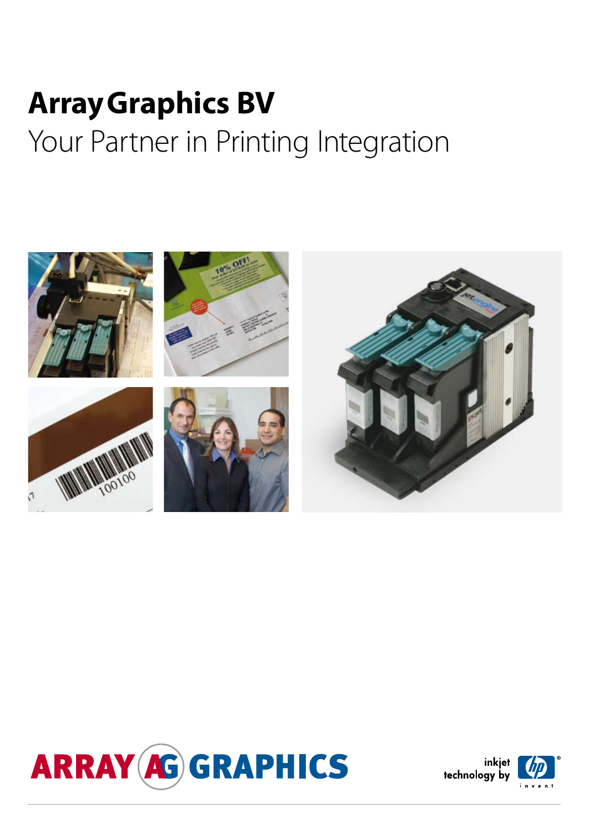# **Array Graphics BV** Your Partner in Printing Integration





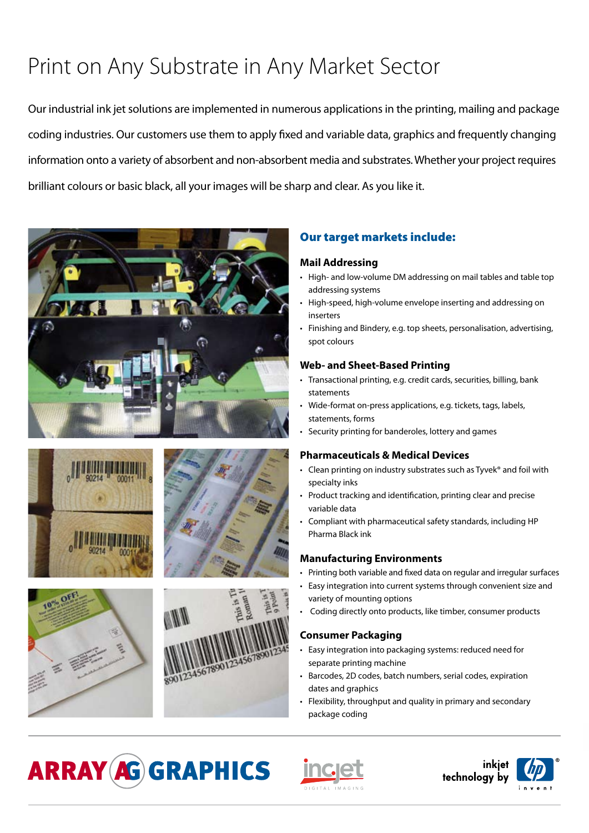# Print on Any Substrate in Any Market Sector

Our industrial ink jet solutions are implemented in numerous applications in the printing, mailing and package coding industries. Our customers use them to apply fixed and variable data, graphics and frequently changing information onto a variety of absorbent and non-absorbent media and substrates. Whether your project requires brilliant colours or basic black, all your images will be sharp and clear. As you like it.











### Our target markets include:

#### **Mail Addressing**

- High- and low-volume DM addressing on mail tables and table top addressing systems
- High-speed, high-volume envelope inserting and addressing on inserters
- Finishing and Bindery, e.g. top sheets, personalisation, advertising, spot colours

#### **Web- and Sheet-Based Printing**

- Transactional printing, e.g. credit cards, securities, billing, bank statements
- Wide-format on-press applications, e.g. tickets, tags, labels, statements, forms
- Security printing for banderoles, lottery and games

#### **Pharmaceuticals & Medical Devices**

- Clean printing on industry substrates such as Tyvek® and foil with specialty inks
- Product tracking and identification, printing clear and precise variable data
- Compliant with pharmaceutical safety standards, including HP Pharma Black ink

#### **Manufacturing Environments**

- Printing both variable and fixed data on regular and irregular surfaces
- Easy integration into current systems through convenient size and variety of mounting options
- Coding directly onto products, like timber, consumer products

#### **Consumer Packaging**

- Easy integration into packaging systems: reduced need for separate printing machine
- Barcodes, 2D codes, batch numbers, serial codes, expiration dates and graphics
- Flexibility, throughput and quality in primary and secondary package coding

# **ARRAY AG GRAPHICS**



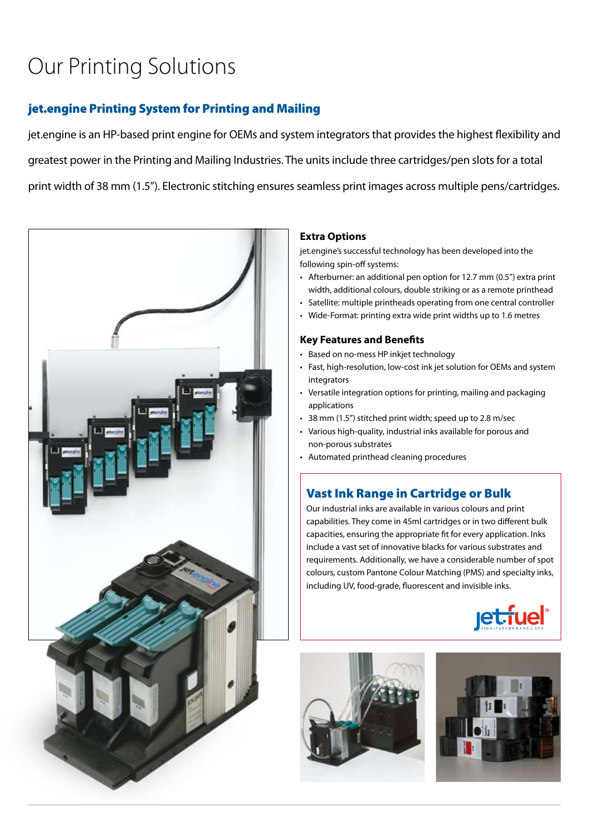# Our Printing Solutions

## jet.engine Printing System for Printing and Mailing

jet.engine is an HP-based print engine for OEMs and system integrators that provides the highest flexibility and greatest power in the Printing and Mailing Industries. The units include three cartridges/pen slots for a total print width of 38 mm (1.5"). Electronic stitching ensures seamless print images across multiple pens/cartridges.



#### **Extra Options**

jet.engine's successful technology has been developed into the following spin-off systems:

- Afterburner: an additional pen option for 12.7 mm (0.5") extra print width, additional colours, double striking or as a remote printhead
- Satellite: multiple printheads operating from one central controller
- Wide-Format: printing extra wide print widths up to 1.6 metres

#### **Key Features and Benefits**

- Based on no-mess HP inkjet technology
- Fast, high-resolution, low-cost ink jet solution for OEMs and system integrators
- Versatile integration options for printing, mailing and packaging applications
- 38 mm (1.5") stitched print width; speed up to 2.8 m/sec
- Various high-quality, industrial inks available for porous and non-porous substrates
- Automated printhead cleaning procedures

### Vast Ink Range in Cartridge or Bulk

Our industrial inks are available in various colours and print capabilities. They come in 45ml cartridges or in two different bulk capacities, ensuring the appropriate fit for every application. Inks include a vast set of innovative blacks for various substrates and requirements. Additionally, we have a considerable number of spot colours, custom Pantone Colour Matching (PMS) and specialty inks, including UV, food-grade, fluorescent and invisible inks.